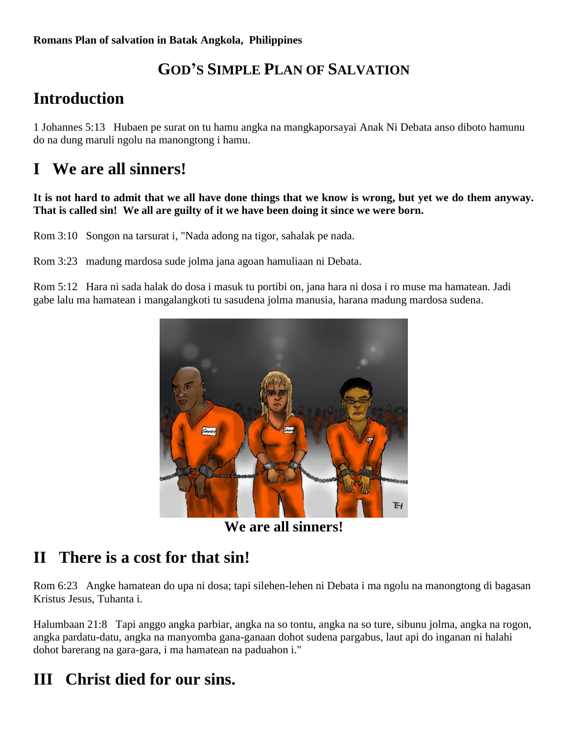## **GOD'S SIMPLE PLAN OF SALVATION**

# **Introduction**

1 Johannes 5:13Hubaen pe surat on tu hamu angka na mangkaporsayai Anak Ni Debata anso diboto hamunu do na dung maruli ngolu na manongtong i hamu.

## **I We are all sinners!**

#### **It is not hard to admit that we all have done things that we know is wrong, but yet we do them anyway. That is called sin! We all are guilty of it we have been doing it since we were born.**

Rom 3:10 Songon na tarsurat i, "Nada adong na tigor, sahalak pe nada.

Rom 3:23 madung mardosa sude jolma jana agoan hamuliaan ni Debata.

Rom 5:12 Hara ni sada halak do dosa i masuk tu portibi on, jana hara ni dosa i ro muse ma hamatean. Jadi gabe lalu ma hamatean i mangalangkoti tu sasudena jolma manusia, harana madung mardosa sudena.



**We are all sinners!**

#### **II There is a cost for that sin!**

Rom 6:23 Angke hamatean do upa ni dosa; tapi silehen-lehen ni Debata i ma ngolu na manongtong di bagasan Kristus Jesus, Tuhanta i.

Halumbaan 21:8 Tapi anggo angka parbiar, angka na so tontu, angka na so ture, sibunu jolma, angka na rogon, angka pardatu-datu, angka na manyomba gana-ganaan dohot sudena pargabus, laut api do inganan ni halahi dohot barerang na gara-gara, i ma hamatean na paduahon i."

## **III Christ died for our sins.**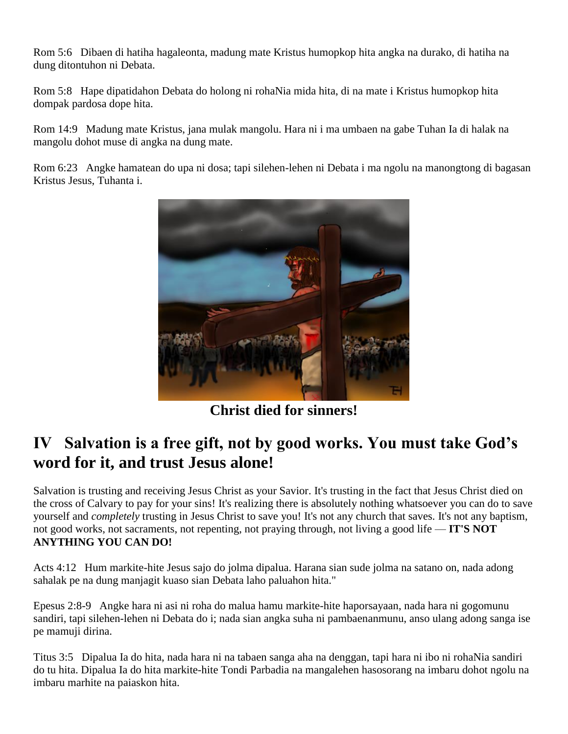Rom 5:6 Dibaen di hatiha hagaleonta, madung mate Kristus humopkop hita angka na durako, di hatiha na dung ditontuhon ni Debata.

Rom 5:8 Hape dipatidahon Debata do holong ni rohaNia mida hita, di na mate i Kristus humopkop hita dompak pardosa dope hita.

Rom 14:9 Madung mate Kristus, jana mulak mangolu. Hara ni i ma umbaen na gabe Tuhan Ia di halak na mangolu dohot muse di angka na dung mate.

Rom 6:23 Angke hamatean do upa ni dosa; tapi silehen-lehen ni Debata i ma ngolu na manongtong di bagasan Kristus Jesus, Tuhanta i.



**Christ died for sinners!**

### **IV Salvation is a free gift, not by good works. You must take God's word for it, and trust Jesus alone!**

Salvation is trusting and receiving Jesus Christ as your Savior. It's trusting in the fact that Jesus Christ died on the cross of Calvary to pay for your sins! It's realizing there is absolutely nothing whatsoever you can do to save yourself and *completely* trusting in Jesus Christ to save you! It's not any church that saves. It's not any baptism, not good works, not sacraments, not repenting, not praying through, not living a good life — **IT'S NOT ANYTHING YOU CAN DO!**

Acts 4:12 Hum markite-hite Jesus sajo do jolma dipalua. Harana sian sude jolma na satano on, nada adong sahalak pe na dung manjagit kuaso sian Debata laho paluahon hita."

Epesus 2:8-9 Angke hara ni asi ni roha do malua hamu markite-hite haporsayaan, nada hara ni gogomunu sandiri, tapi silehen-lehen ni Debata do i; nada sian angka suha ni pambaenanmunu, anso ulang adong sanga ise pe mamuji dirina.

Titus 3:5 Dipalua Ia do hita, nada hara ni na tabaen sanga aha na denggan, tapi hara ni ibo ni rohaNia sandiri do tu hita. Dipalua Ia do hita markite-hite Tondi Parbadia na mangalehen hasosorang na imbaru dohot ngolu na imbaru marhite na paiaskon hita.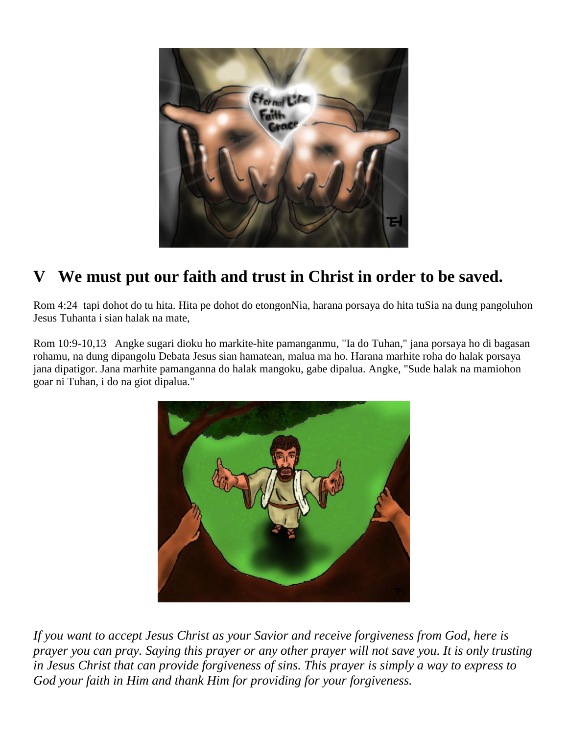

# **V We must put our faith and trust in Christ in order to be saved.**

Rom 4:24 tapi dohot do tu hita. Hita pe dohot do etongonNia, harana porsaya do hita tuSia na dung pangoluhon Jesus Tuhanta i sian halak na mate,

Rom 10:9-10,13 Angke sugari dioku ho markite-hite pamanganmu, "Ia do Tuhan," jana porsaya ho di bagasan rohamu, na dung dipangolu Debata Jesus sian hamatean, malua ma ho. Harana marhite roha do halak porsaya jana dipatigor. Jana marhite pamanganna do halak mangoku, gabe dipalua. Angke, "Sude halak na mamiohon goar ni Tuhan, i do na giot dipalua."



*If you want to accept Jesus Christ as your Savior and receive forgiveness from God, here is prayer you can pray. Saying this prayer or any other prayer will not save you. It is only trusting in Jesus Christ that can provide forgiveness of sins. This prayer is simply a way to express to God your faith in Him and thank Him for providing for your forgiveness.*